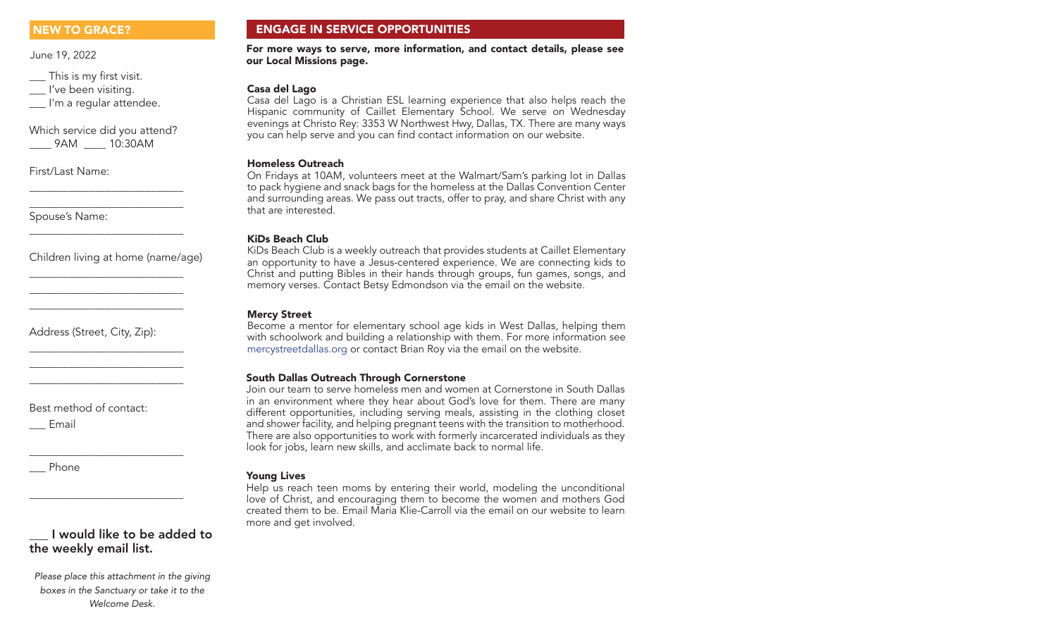June 19, 2022

\_\_\_ This is my first visit. \_\_ I've been visiting.

I'm a regular attendee.

Which service did you attend? \_\_\_\_ 9AM \_\_\_\_ 10:30AM

\_\_\_\_\_\_\_\_\_\_\_\_\_\_\_\_\_\_\_\_\_\_\_\_\_\_\_\_ \_\_\_\_\_\_\_\_\_\_\_\_\_\_\_\_\_\_\_\_\_\_\_\_\_\_\_\_

\_\_\_\_\_\_\_\_\_\_\_\_\_\_\_\_\_\_\_\_\_\_\_\_\_\_\_\_

\_\_\_\_\_\_\_\_\_\_\_\_\_\_\_\_\_\_\_\_\_\_\_\_\_\_\_\_ \_\_\_\_\_\_\_\_\_\_\_\_\_\_\_\_\_\_\_\_\_\_\_\_\_\_\_\_ \_\_\_\_\_\_\_\_\_\_\_\_\_\_\_\_\_\_\_\_\_\_\_\_\_\_\_\_

\_\_\_\_\_\_\_\_\_\_\_\_\_\_\_\_\_\_\_\_\_\_\_\_\_\_\_\_ \_\_\_\_\_\_\_\_\_\_\_\_\_\_\_\_\_\_\_\_\_\_\_\_\_\_\_\_ \_\_\_\_\_\_\_\_\_\_\_\_\_\_\_\_\_\_\_\_\_\_\_\_\_\_\_\_

\_\_\_\_\_\_\_\_\_\_\_\_\_\_\_\_\_\_\_\_\_\_\_\_\_\_\_\_

\_\_\_\_\_\_\_\_\_\_\_\_\_\_\_\_\_\_\_\_\_\_\_\_\_\_\_\_

First/Last Name:

Spouse's Name:

Children living at home (name/age)

Address (Street, City, Zip):

Best method of contact:

\_\_\_ Email

\_\_\_ Phone

# \_\_\_ I would like to be added to the weekly email list.

*Please place this attachment in the giving boxes in the Sanctuary or take it to the Welcome Desk.*

# NEW TO GRACE? ENGAGE IN SERVICE OPPORTUNITIES

For more ways to serve, more information, and contact details, please see our Local Missions page.

## Casa del Lago

Casa del Lago is a Christian ESL learning experience that also helps reach the Hispanic community of Caillet Elementary School. We serve on Wednesday evenings at Christo Rey: 3353 W Northwest Hwy, Dallas, TX. There are many ways you can help serve and you can find contact information on our website.

### Homeless Outreach

On Fridays at 10AM, volunteers meet at the Walmart/Sam's parking lot in Dallas to pack hygiene and snack bags for the homeless at the Dallas Convention Center and surrounding areas. We pass out tracts, offer to pray, and share Christ with any that are interested.

## KiDs Beach Club

KiDs Beach Club is a weekly outreach that provides students at Caillet Elementary an opportunity to have a Jesus-centered experience. We are connecting kids to Christ and putting Bibles in their hands through groups, fun games, songs, and memory verses. Contact Betsy Edmondson via the email on the website.

# Mercy Street

Become a mentor for elementary school age kids in West Dallas, helping them with schoolwork and building a relationship with them. For more information see mercystreetdallas.org or contact Brian Roy via the email on the website.

## South Dallas Outreach Through Cornerstone

Join our team to serve homeless men and women at Cornerstone in South Dallas in an environment where they hear about God's love for them. There are many different opportunities, including serving meals, assisting in the clothing closet and shower facility, and helping pregnant teens with the transition to motherhood. There are also opportunities to work with formerly incarcerated individuals as they look for jobs, learn new skills, and acclimate back to normal life.

## Young Lives

Help us reach teen moms by entering their world, modeling the unconditional love of Christ, and encouraging them to become the women and mothers God created them to be. Email Maria Klie-Carroll via the email on our website to learn more and get involved.